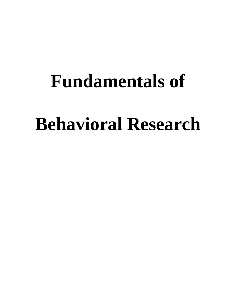# **Fundamentals of**

# **Behavioral Research**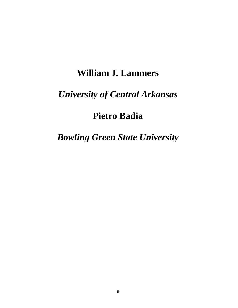## **William J. Lammers**

## *University of Central Arkansas*

## **Pietro Badia**

## *Bowling Green State University*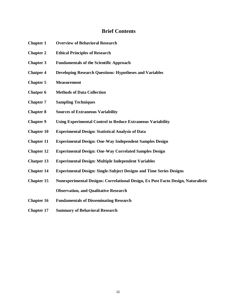#### **Brief Contents**

- **Chapter 1 Overview of Behavioral Research**
- **Chapter 2 Ethical Principles of Research**
- **Chapter 3 Fundamentals of the Scientific Approach**
- **Chatper 4 Developing Research Questions: Hypotheses and Variables**
- **Chapter 5 Measurement**
- **Chatper 6 Methods of Data Collection**
- **Chapter 7 Sampling Techniques**
- **Chapter 8 Sources of Extraneous Variability**
- **Chapter 9 Using Experimental Control to Reduce Extraneous Variability**
- **Chapter 10 Experimental Design: Statistical Analysis of Data**
- **Chapter 11 Experimental Design: One-Way Independent Samples Design**
- **Chapter 12 Experimental Design: One-Way Correlated Samples Design**
- **Chatper 13 Experimental Design: Multiple Independent Variables**
- **Chapter 14 Experimental Design: Single-Subject Designs and Time Series Designs**
- **Chapter 15 Nonexperimental Designs: Correlational Design, Ex Post Facto Design, Naturalistic Observation, and Qualitative Research**
- **Chapter 16 Fundamentals of Disseminating Research**
- **Chapter 17 Summary of Behavioral Research**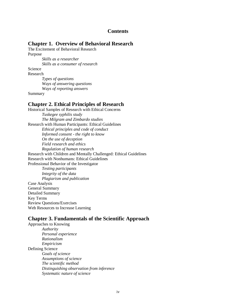#### **Contents**

#### **Chapter 1. Overview of Behavioral Research**

The Excitement of Behavioral Research Purpose *Skills as a researcher Skills as a consumer of research*

Science

Research

*Types of questions Ways of answering questions Ways of reporting answers*

Summary

#### **Chapter 2. Ethical Principles of Research**

Historical Samples of Research with Ethical Concerns *Tuskegee syphilis study The Milgram and Zimbardo studies* Research with Human Participants: Ethical Guidelines *Ethical principles and code of conduct Informed consent - the right to know On the use of deception Field research and ethics Regulation of human research* Research with Children and Mentally Challenged: Ethical Guidelines Research with Nonhumans: Ethical Guidelines Professional Behavior of the Investigator *Testing participants Integrity of the data Plagiarism and publication* Case Analysis General Summary Detailed Summary Key Terms Review Questions/Exercises Web Resources to Increase Learning

#### **Chapter 3. Fundamentals of the Scientific Approach**

Approaches to Knowing *Authority Personal experience Rationalism Empiricism* Defining Science *Goals of science Assumptions of science The scientific method Distinguishing observation from inference Systematic nature of science*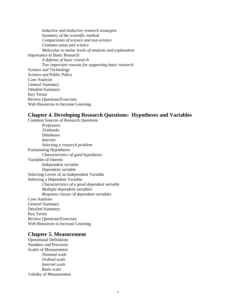*Inductive and deductive research strategies Summary of the scientific method Comparisons of science and non-science Common sense and science Molecular to molar levels of analysis and explanation* Importance of Basic Research *A defense of basic research Two important reasons for supporting basic research* Science and Technology Science and Public Policy Case Analysis General Summary Detailed Summary Key Terms Review Questions/Exercises Web Resources to Increase Learning

#### **Chapter 4. Developing Research Questions: Hypotheses and Variables**

Common Sources of Research Questions *Professors Textbooks Databases Internet Selecting a research problem* Formulating Hypotheses *Characteristics of good hypotheses* Variables of Interest *Independent variable Dependent variable* Selecting Levels of an Independent Variable Selecting a Dependent Variable *Characteristics of a good dependent variable Multiple dependent variables Response classes of dependent variables* Case Analysis General Summary Detailed Summary Key Terms Review Questions/Exercises Web Resources to Increase Learning

#### **Chapter 5. Measurement**

Operational Definitions Numbers and Precision Scales of Measurement *Nominal scale Ordinal scale Interval scale Ratio scale* Validity of Measurement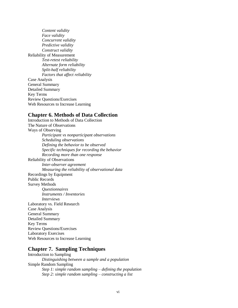*Content validity Face validity Concurrent validity Predictive validity Construct validity* Reliability of Measurement *Test-retest reliability Alternate form reliability Split-half reliability Factors that affect reliability* Case Analysis General Summary Detailed Summary Key Terms Review Questions/Exercises Web Resources to Increase Learning

#### **Chapter 6. Methods of Data Collection**

Introduction to Methods of Data Collection The Nature of Observations Ways of Observing *Participant vs nonparticipant observations Scheduling observations Defining the behavior to be observed Specific techniques for recording the behavior Recording more than one response* Reliability of Observations *Inter-observer agreement Measuring the reliability of observational data* Recordings by Equipment Public Records Survey Methods *Questionnaires Instruments / Inventories Interviews* Laboratory vs. Field Research Case Analysis General Summary Detailed Summary Key Terms Review Questions/Exercises Laboratory Exercises Web Resources to Increase Learning

#### **Chapter 7. Sampling Techniques**

Introduction to Sampling *Distinguishing between a sample and a population* Simple Random Sampling *Step 1: simple random sampling – defining the population Step 2: simple random sampling – constructing a list*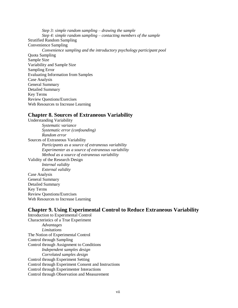*Step 3: simple random sampling – drawing the sample Step 4: simple random sampling – contacting members of the sample* Stratified Random Sampling Convenience Sampling *Convenience sampling and the introductory psychology participant pool* Quota Sampling Sample Size Variability and Sample Size Sampling Error Evaluating Information from Samples Case Analysis General Summary Detailed Summary Key Terms Review Questions/Exercises Web Resources to Increase Learning

#### **Chapter 8. Sources of Extraneous Variability**

Understanding Variability *Systematic variance Systematic error (confounding) Random error* Sources of Extraneous Variability *Participants as a source of extraneous variability Experimenter as a source of extraneous variability Method as a source of extraneous variability* Validity of the Research Design *Internal validity External validity* Case Analysis General Summary Detailed Summary Key Terms Review Questions/Exercises Web Resources to Increase Learning

#### **Chapter 9. Using Experimental Control to Reduce Extraneous Variability**

Introduction to Experimental Control Characteristics of a True Experiment *Advantages Limitations* The Notion of Experimental Control Control through Sampling Control through Assignment to Conditions *Independent samples design Correlated samples design* Control through Experiment Setting Control through Experiment Consent and Instructions Control through Experimenter Interactions Control through Observation and Measurement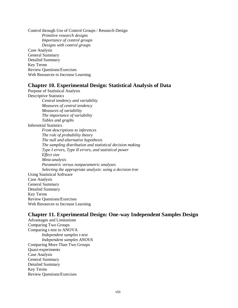Control through Use of Control Groups / Research Design *Primitive research designs Importance of control groups Designs with control groups* Case Analysis General Summary Detailed Summary Key Terms Review Questions/Exercises Web Resources to Increase Learning

#### **Chapter 10. Experimental Design: Statistical Analysis of Data**

Purpose of Statistical Analysis Descriptive Statistics *Central tendency and variability Measures of central tendency Measures of variability The importance of variability Tables and graphs* Inferential Statistics *From descriptions to inferences The role of probability theory The null and alternative hypothesis The sampling distribution and statistical decision making Type I errors, Type II errors, and statistical power Effect size Meta-analysis Parametric versus nonparametric analyses Selecting the appropriate analysis: using a decision tree* Using Statistical Software Case Analysis General Summary Detailed Summary Key Terms Review Questions/Exercises Web Resources to Increase Learning

#### **Chapter 11. Experimental Design: One-way Independent Samples Design**

Advantages and Limitations Comparing Two Groups Comparing t-test to ANOVA *Independent samples t-test Independent samples ANOVA* Comparing More Than Two Groups Quasi-experiments Case Analysis General Summary Detailed Summary Key Terms Review Questions/Exercises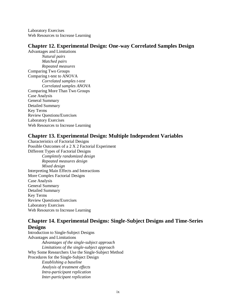Laboratory Exercises Web Resources to Increase Learning

#### **Chapter 12. Experimental Design: One-way Correlated Samples Design**

Advantages and Limitations *Natural pairs Matched pairs Repeated measures* Comparing Two Groups Comparing t-test to ANOVA *Correlated samples t-test Correlated samples ANOVA* Comparing More Than Two Groups Case Analysis General Summary Detailed Summary Key Terms Review Questions/Exercises Laboratory Exercises Web Resources to Increase Learning

#### **Chapter 13. Experimental Design: Multiple Independent Variables**

Characteristics of Factorial Designs Possible Outcomes of a 2 X 2 Factorial Experiment Different Types of Factorial Designs *Completely randomized design Repeated measures design Mixed design* Interpreting Main Effects and Interactions More Complex Factorial Designs Case Analysis General Summary Detailed Summary Key Terms Review Questions/Exercises Laboratory Exercises Web Resources to Increase Learning

#### **Chapter 14. Experimental Designs: Single-Subject Designs and Time-Series Designs**

Introduction to Single-Subject Designs Advantages and Limitations *Advantages of the single-subject approach Limitations of the single-subject approach* Why Some Researchers Use the Single-Subject Method Procedures for the Single-Subject Design *Establishing a baseline Analysis of treatment effects Intra-participant replication Inter-participant replication*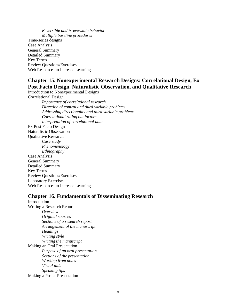*Reversible and irreversible behavior Multiple baseline procedures* Time-series designs Case Analysis General Summary Detailed Summary Key Terms Review Questions/Exercises Web Resources to Increase Learning

#### **Chapter 15. Nonexperimental Research Designs: Correlational Design, Ex Post Facto Design, Naturalistic Observation, and Qualitative Research**

Introduction to Nonexperimental Designs Correlational Design *Importance of correlational research Direction of control and third variable problems Addressing directionality and third variable problems Correlational ruling out factors Interpretation of correlational data* Ex Post Facto Design Naturalistic Observation Qualitative Research *Case study Phenomenology Ethnography* Case Analysis General Summary Detailed Summary Key Terms Review Questions/Exercises Laboratory Exercises Web Resources to Increase Learning

#### **Chapter 16. Fundamentals of Disseminating Research**

Introduction Writing a Research Report *Overview Original sources Sections of a research report Arrangement of the manuscript Headings Writing style Writing the manuscript* Making an Oral Presentation *Purpose of an oral presentation Sections of the presentation Working from notes Visual aids Speaking tips* Making a Poster Presentation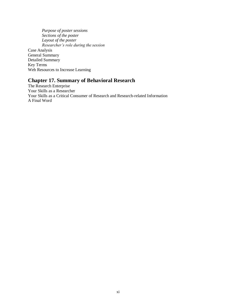*Purpose of poster sessions Sections of the poster Layout of the poster Researcher's role during the session* Case Analysis General Summary Detailed Summary Key Terms Web Resources to Increase Learning

#### **Chapter 17. Summary of Behavioral Research**

The Research Enterprise Your Skills as a Researcher Your Skills as a Critical Consumer of Research and Research-related Information A Final Word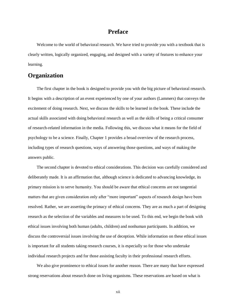#### **Preface**

Welcome to the world of behavioral research. We have tried to provide you with a textbook that is clearly written, logically organized, engaging, and designed with a variety of features to enhance your learning.

#### **Organization**

The first chapter in the book is designed to provide you with the big picture of behavioral research. It begins with a description of an event experienced by one of your authors (Lammers) that conveys the excitement of doing research. Next, we discuss the skills to be learned in the book. These include the actual skills associated with doing behavioral research as well as the skills of being a critical consumer of research-related information in the media. Following this, we discuss what it means for the field of psychology to be a science. Finally, Chapter 1 provides a broad overview of the research process, including types of research questions, ways of answering those questions, and ways of making the answers public.

The second chapter is devoted to ethical considerations. This decision was carefully considered and deliberately made. It is an affirmation that, although science is dedicated to advancing knowledge, its primary mission is to serve humanity. You should be aware that ethical concerns are not tangential matters that are given consideration only after "more important" aspects of research design have been resolved. Rather, we are asserting the primacy of ethical concerns. They are as much a part of designing research as the selection of the variables and measures to be used. To this end, we begin the book with ethical issues involving both human (adults, children) and nonhuman participants. In addition, we discuss the controversial issues involving the use of deception. While information on these ethical issues is important for all students taking research courses, it is especially so for those who undertake individual research projects and for those assisting faculty in their professional research efforts.

We also give prominence to ethical issues for another reason. There are many that have expressed strong reservations about research done on living organisms. These reservations are based on what is

xii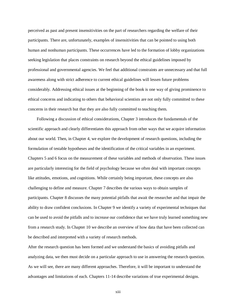perceived as past and present insensitivities on the part of researchers regarding the welfare of their participants. There are, unfortunately, examples of insensitivities that can be pointed to using both human and nonhuman participants. These occurrences have led to the formation of lobby organizations seeking legislation that places constraints on research beyond the ethical guidelines imposed by professional and governmental agencies. We feel that additional constraints are unnecessary and that full awareness along with strict adherence to current ethical guidelines will lessen future problems considerably. Addressing ethical issues at the beginning of the book is one way of giving prominence to ethical concerns and indicating to others that behavioral scientists are not only fully committed to these concerns in their research but that they are also fully committed to teaching them.

Following a discussion of ethical considerations, Chapter 3 introduces the fundamentals of the scientific approach and clearly differentiates this approach from other ways that we acquire information about our world. Then, in Chapter 4, we explore the development of research questions, including the formulation of testable hypotheses and the identification of the critical variables in an experiment. Chapters 5 and 6 focus on the measurement of these variables and methods of observation. These issues are particularly interesting for the field of psychology because we often deal with important concepts like attitudes, emotions, and cognitions. While certainly being important, these concepts are also challenging to define and measure. Chapter 7 describes the various ways to obtain samples of participants. Chapter 8 discusses the many potential pitfalls that await the researcher and that impair the ability to draw confident conclusions. In Chapter 9 we identify a variety of experimental techniques that can be used to avoid the pitfalls and to increase our confidence that we have truly learned something new from a research study. In Chapter 10 we describe an overview of how data that have been collected can be described and interpreted with a variety of research methods.

After the research question has been formed and we understand the basics of avoiding pitfalls and analyzing data, we then must decide on a particular approach to use in answering the research question. As we will see, there are many different approaches. Therefore, it will be important to understand the advantages and limitations of each. Chapters 11-14 describe variations of true experimental designs.

xiii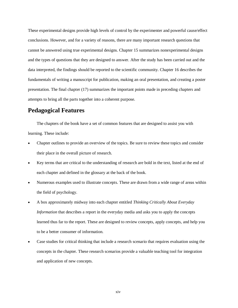These experimental designs provide high levels of control by the experimenter and powerful cause/effect conclusions. However, and for a variety of reasons, there are many important research questions that cannot be answered using true experimental designs. Chapter 15 summarizes nonexperimental designs and the types of questions that they are designed to answer. After the study has been carried out and the data interpreted, the findings should be reported to the scientific community. Chapter 16 describes the fundamentals of writing a manuscript for publication, making an oral presentation, and creating a poster presentation. The final chapter (17) summarizes the important points made in preceding chapters and attempts to bring all the parts together into a coherent purpose.

#### **Pedagogical Features**

The chapters of the book have a set of common features that are designed to assist you with learning. These include:

- Chapter outlines to provide an overview of the topics. Be sure to review these topics and consider their place in the overall picture of research.
- Key terms that are critical to the understanding of research are bold in the text, listed at the end of each chapter and defined in the glossary at the back of the book.
- Numerous examples used to illustrate concepts. These are drawn from a wide range of areas within the field of psychology.
- A box approximately midway into each chapter entitled *Thinking Critically About Everyday Information* that describes a report in the everyday media and asks you to apply the concepts learned thus far to the report. These are designed to review concepts, apply concepts, and help you to be a better consumer of information.
- Case studies for critical thinking that include a research scenario that requires evaluation using the concepts in the chapter. These research scenarios provide a valuable teaching tool for integration and application of new concepts.